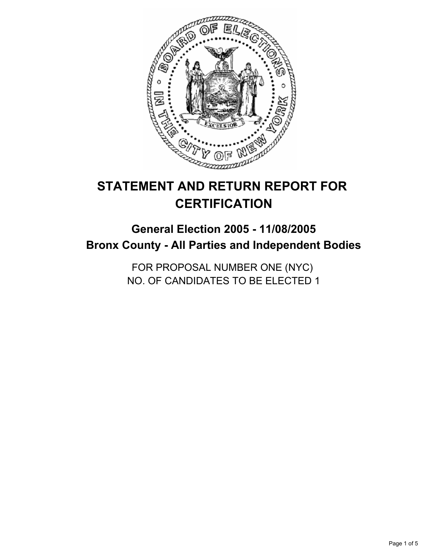

# **STATEMENT AND RETURN REPORT FOR CERTIFICATION**

## **General Election 2005 - 11/08/2005 Bronx County - All Parties and Independent Bodies**

FOR PROPOSAL NUMBER ONE (NYC) NO. OF CANDIDATES TO BE ELECTED 1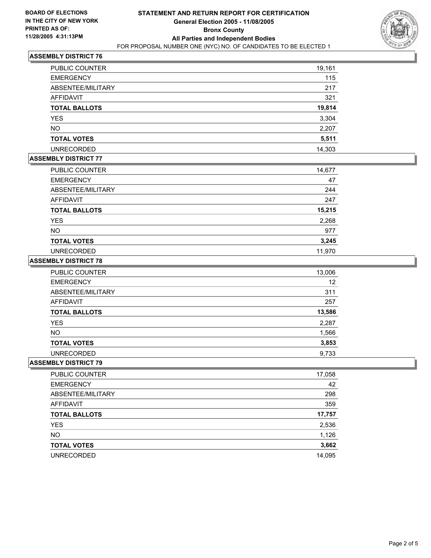

## **ASSEMBLY DISTRICT 76**

| PUBLIC COUNTER       | 19,161 |
|----------------------|--------|
| <b>EMERGENCY</b>     | 115    |
| ABSENTEE/MILITARY    | 217    |
| AFFIDAVIT            | 321    |
| <b>TOTAL BALLOTS</b> | 19,814 |
| <b>YES</b>           | 3,304  |
| <b>NO</b>            | 2,207  |
| <b>TOTAL VOTES</b>   | 5,511  |
| <b>UNRECORDED</b>    | 14,303 |

## **ASSEMBLY DISTRICT 77**

| PUBLIC COUNTER       | 14,677 |
|----------------------|--------|
| <b>EMERGENCY</b>     | 47     |
| ABSENTEE/MILITARY    | 244    |
| <b>AFFIDAVIT</b>     | 247    |
| <b>TOTAL BALLOTS</b> | 15,215 |
| <b>YES</b>           | 2,268  |
| <b>NO</b>            | 977    |
| <b>TOTAL VOTES</b>   | 3,245  |
| <b>UNRECORDED</b>    | 11.970 |

#### **ASSEMBLY DISTRICT 78**

| <b>PUBLIC COUNTER</b> | 13,006 |
|-----------------------|--------|
| <b>EMERGENCY</b>      | 12     |
| ABSENTEE/MILITARY     | 311    |
| AFFIDAVIT             | 257    |
| <b>TOTAL BALLOTS</b>  | 13,586 |
| <b>YES</b>            | 2,287  |
| <b>NO</b>             | 1,566  |
| <b>TOTAL VOTES</b>    | 3,853  |
| <b>UNRECORDED</b>     | 9,733  |

#### **ASSEMBLY DISTRICT 79**

| PUBLIC COUNTER       | 17,058 |
|----------------------|--------|
| <b>EMERGENCY</b>     | 42     |
| ABSENTEE/MILITARY    | 298    |
| AFFIDAVIT            | 359    |
| <b>TOTAL BALLOTS</b> | 17,757 |
| <b>YES</b>           | 2,536  |
| <b>NO</b>            | 1,126  |
| <b>TOTAL VOTES</b>   | 3,662  |
| <b>UNRECORDED</b>    | 14,095 |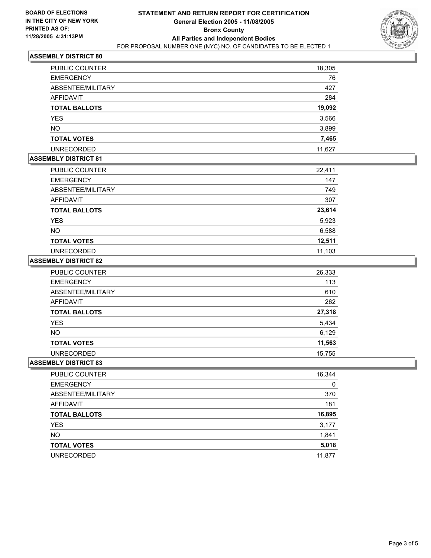

## **ASSEMBLY DISTRICT 80**

| PUBLIC COUNTER       | 18,305 |
|----------------------|--------|
| <b>EMERGENCY</b>     | 76     |
| ABSENTEE/MILITARY    | 427    |
| AFFIDAVIT            | 284    |
| <b>TOTAL BALLOTS</b> | 19,092 |
| <b>YES</b>           | 3,566  |
| <b>NO</b>            | 3,899  |
| <b>TOTAL VOTES</b>   | 7,465  |
| <b>UNRECORDED</b>    | 11,627 |

## **ASSEMBLY DISTRICT 81**

| PUBLIC COUNTER       | 22,411 |
|----------------------|--------|
| <b>EMERGENCY</b>     | 147    |
| ABSENTEE/MILITARY    | 749    |
| <b>AFFIDAVIT</b>     | 307    |
| <b>TOTAL BALLOTS</b> | 23,614 |
| <b>YES</b>           | 5,923  |
| <b>NO</b>            | 6,588  |
| <b>TOTAL VOTES</b>   | 12,511 |
| <b>UNRECORDED</b>    | 11,103 |

#### **ASSEMBLY DISTRICT 82**

| PUBLIC COUNTER       | 26,333 |
|----------------------|--------|
| <b>EMERGENCY</b>     | 113    |
| ABSENTEE/MILITARY    | 610    |
| AFFIDAVIT            | 262    |
| <b>TOTAL BALLOTS</b> | 27,318 |
| <b>YES</b>           | 5,434  |
| <b>NO</b>            | 6,129  |
| <b>TOTAL VOTES</b>   | 11,563 |
| <b>UNRECORDED</b>    | 15,755 |

#### **ASSEMBLY DISTRICT 83**

| PUBLIC COUNTER       | 16,344 |
|----------------------|--------|
| <b>EMERGENCY</b>     | 0      |
| ABSENTEE/MILITARY    | 370    |
| AFFIDAVIT            | 181    |
| <b>TOTAL BALLOTS</b> | 16,895 |
| <b>YES</b>           | 3,177  |
| <b>NO</b>            | 1,841  |
| <b>TOTAL VOTES</b>   | 5,018  |
| <b>UNRECORDED</b>    | 11,877 |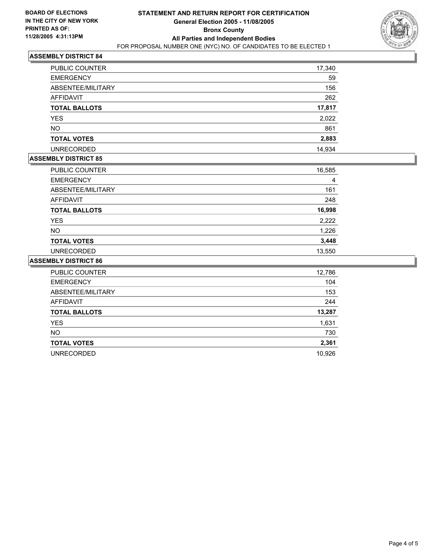

#### **ASSEMBLY DISTRICT 84**

| PUBLIC COUNTER       | 17,340 |  |
|----------------------|--------|--|
| <b>EMERGENCY</b>     | 59     |  |
| ABSENTEE/MILITARY    | 156    |  |
| <b>AFFIDAVIT</b>     | 262    |  |
| <b>TOTAL BALLOTS</b> | 17,817 |  |
| <b>YES</b>           | 2,022  |  |
| <b>NO</b>            | 861    |  |
| <b>TOTAL VOTES</b>   | 2,883  |  |
| <b>UNRECORDED</b>    | 14,934 |  |

## **ASSEMBLY DISTRICT 85**

| PUBLIC COUNTER       | 16,585 |  |
|----------------------|--------|--|
| <b>EMERGENCY</b>     | 4      |  |
| ABSENTEE/MILITARY    | 161    |  |
| <b>AFFIDAVIT</b>     | 248    |  |
| <b>TOTAL BALLOTS</b> | 16,998 |  |
| <b>YES</b>           | 2,222  |  |
| <b>NO</b>            | 1,226  |  |
| <b>TOTAL VOTES</b>   | 3,448  |  |
| <b>UNRECORDED</b>    | 13,550 |  |

#### **ASSEMBLY DISTRICT 86**

| PUBLIC COUNTER       | 12,786 |
|----------------------|--------|
| <b>EMERGENCY</b>     | 104    |
| ABSENTEE/MILITARY    | 153    |
| <b>AFFIDAVIT</b>     | 244    |
| <b>TOTAL BALLOTS</b> | 13,287 |
| <b>YES</b>           | 1,631  |
| <b>NO</b>            | 730    |
| <b>TOTAL VOTES</b>   | 2,361  |
| <b>UNRECORDED</b>    | 10,926 |